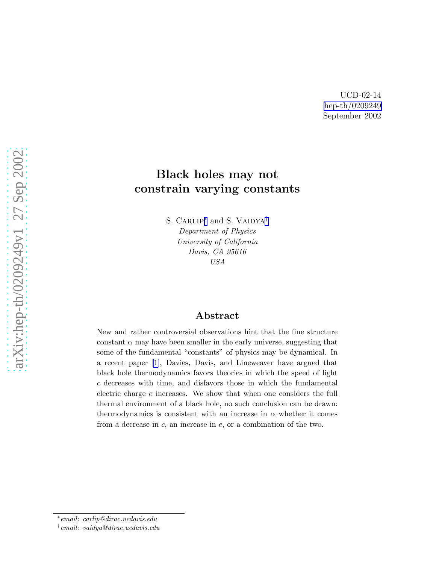UCD-02-14 [hep-th/0209249](http://arxiv.org/abs/hep-th/0209249) September 2002

## Black holes may not constrain varying constants

S. CARLIP<sup>\*</sup> and S. VAIDYA<sup>†</sup> *Department of Physics University of California Davis, CA 95616 USA*

## Abstract

New and rather controversial observations hint that the fine structure constant  $\alpha$  may have been smaller in the early universe, suggesting that some of the fundamental "constants" of physics may be dynamical. In a recent paper [\[1\]](#page-3-0), Davies, Davis, and Lineweaver have argued that black hole thermodynamics favors theories in which the speed of light c decreases with time, and disfavors those in which the fundamental electric charge  $e$  increases. We show that when one considers the full thermal environment of a black hole, no such conclusion can be drawn: thermodynamics is consistent with an increase in  $\alpha$  whether it comes from a decrease in  $c$ , an increase in  $e$ , or a combination of the two.

<sup>∗</sup> *email: carlip@dirac.ucdavis.edu*

<sup>†</sup> *email: vaidya@dirac.ucdavis.edu*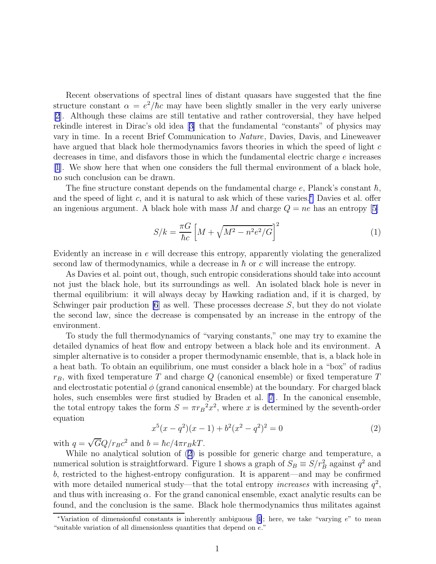Recent observations of spectral lines of distant quasars have suggested that the fine structure constant  $\alpha = e^2/\hbar c$  may have been slightly smaller in the very early universe [\[2](#page-3-0)]. Although these claims are still tentative and rather controversial, they have helped rekindle interest in Dirac's old idea[[3\]](#page-3-0) that the fundamental "constants" of physics may vary in time. In a recent Brief Communication to Nature, Davies, Davis, and Lineweaver have argued that black hole thermodynamics favors theories in which the speed of light c decreases in time, and disfavors those in which the fundamental electric charge e increases [\[1\]](#page-3-0). We show here that when one considers the full thermal environment of a black hole, no such conclusion can be drawn.

The fine structure constant depends on the fundamental charge e, Planck's constant  $\hbar$ , and the speed of light c, and it is natural to ask which of these varies. $*$  Davies et al. offer an ingenious argument. A black hole with mass M and charge  $Q = ne$  has an entropy [\[5\]](#page-3-0)

$$
S/k = \frac{\pi G}{\hbar c} \left[ M + \sqrt{M^2 - n^2 e^2 / G} \right]^2 \tag{1}
$$

Evidently an increase in e will decrease this entropy, apparently violating the generalized second law of thermodynamics, while a decrease in  $\hbar$  or c will increase the entropy.

As Davies et al. point out, though, such entropic considerations should take into account not just the black hole, but its surroundings as well. An isolated black hole is never in thermal equilibrium: it will always decay by Hawking radiation and, if it is charged, by Schwinger pair production  $[6]$  as well. These processes decrease S, but they do not violate the second law, since the decrease is compensated by an increase in the entropy of the environment.

To study the full thermodynamics of "varying constants," one may try to examine the detailed dynamics of heat flow and entropy between a black hole and its environment. A simpler alternative is to consider a proper thermodynamic ensemble, that is, a black hole in a heat bath. To obtain an equilibrium, one must consider a black hole in a "box" of radius  $r_B$ , with fixed temperature T and charge Q (canonical ensemble) or fixed temperature T and electrostatic potential  $\phi$  (grand canonical ensemble) at the boundary. For charged black holes, such ensembles were first studied by Braden et al. [\[7\]](#page-3-0). In the canonical ensemble, the total entropy takes the form  $S = \pi {r_B}^2 x^2$ , where x is determined by the seventh-order equation

$$
x^{5}(x - q^{2})(x - 1) + b^{2}(x^{2} - q^{2})^{2} = 0
$$
\n(2)

with  $q = \sqrt{G}Q/r_Bc^2$  and  $b = \hbar c/4\pi r_B kT$ .

While no analytical solution of (2) is possible for generic charge and temperature, a numerical solution is straightforward. Figure 1 shows a graph of  $S_B \equiv S/r_B^2$  against  $q^2$  and b, restricted to the highest-entropy configuration. It is apparent—and may be confirmed with more detailed numerical study—that the total entropy *increases* with increasing  $q^2$ , and thus with increasing  $\alpha$ . For the grand canonical ensemble, exact analytic results can be found, and the conclusion is the same. Black hole thermodynamics thus militates against

<sup>\*</sup>Variationof dimensionful constants is inherently ambiguous [[4\]](#page-3-0); here, we take "varying  $e$ " to mean "suitable variation of all dimensionless quantities that depend on e."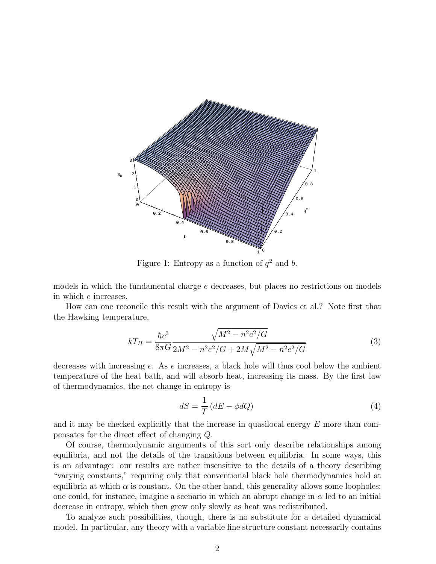

Figure 1: Entropy as a function of  $q^2$  and b.

models in which the fundamental charge e decreases, but places no restrictions on models in which e increases.

How can one reconcile this result with the argument of Davies et al.? Note first that the Hawking temperature,

$$
kT_H = \frac{\hbar c^3}{8\pi G} \frac{\sqrt{M^2 - n^2 e^2/G}}{2M^2 - n^2 e^2/G + 2M\sqrt{M^2 - n^2 e^2/G}}
$$
(3)

decreases with increasing e. As e increases, a black hole will thus cool below the ambient temperature of the heat bath, and will absorb heat, increasing its mass. By the first law of thermodynamics, the net change in entropy is

$$
dS = \frac{1}{T} \left( dE - \phi dQ \right) \tag{4}
$$

and it may be checked explicitly that the increase in quasilocal energy  $E$  more than compensates for the direct effect of changing Q.

Of course, thermodynamic arguments of this sort only describe relationships among equilibria, and not the details of the transitions between equilibria. In some ways, this is an advantage: our results are rather insensitive to the details of a theory describing "varying constants," requiring only that conventional black hole thermodynamics hold at equilibria at which  $\alpha$  is constant. On the other hand, this generality allows some loopholes: one could, for instance, imagine a scenario in which an abrupt change in  $\alpha$  led to an initial decrease in entropy, which then grew only slowly as heat was redistributed.

To analyze such possibilities, though, there is no substitute for a detailed dynamical model. In particular, any theory with a variable fine structure constant necessarily contains